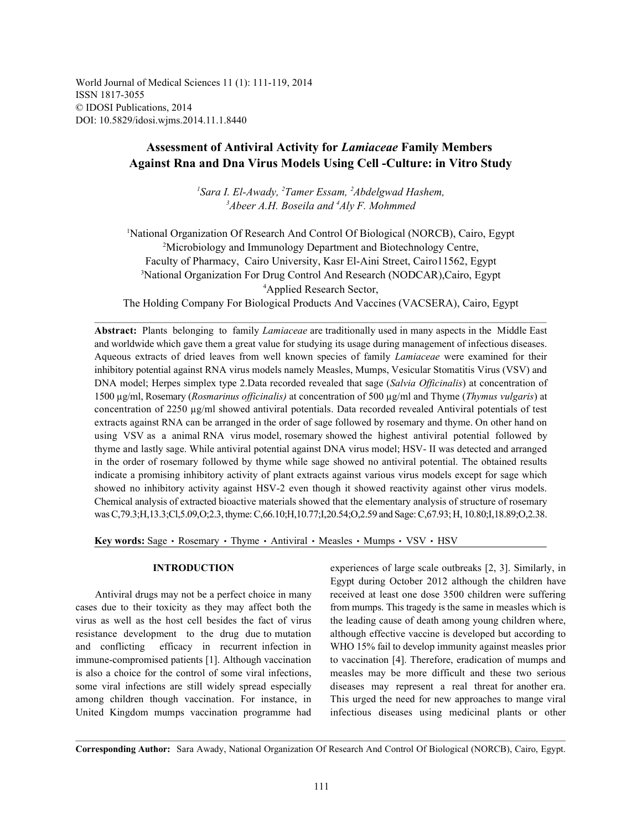World Journal of Medical Sciences 11 (1): 111-119, 2014 ISSN 1817-3055 © IDOSI Publications, 2014 DOI: 10.5829/idosi.wjms.2014.11.1.8440

# **Assessment of Antiviral Activity for** *Lamiaceae* **Family Members Against Rna and Dna Virus Models Using Cell -Culture: in Vitro Study**

<sup>1</sup>Sara I. El-Awady, <sup>2</sup>Tamer Essam, <sup>2</sup>Abdelgwad Hashem, <sup>3</sup>Abeer A.H. Boseila and <sup>4</sup>Aly F. Mohmmed

<sup>1</sup>National Organization Of Research And Control Of Biological (NORCB), Cairo, Egypt <sup>2</sup>Microbiology and Immunology Department and Biotechnology Centre, Faculty of Pharmacy, Cairo University, Kasr El-Aini Street, Cairo11562, Egypt <sup>3</sup>National Organization For Drug Control And Research (NODCAR), Cairo, Egypt <sup>4</sup>Applied Research Sector, The Holding Company For Biological Products And Vaccines (VACSERA), Cairo, Egypt

**Abstract:** Plants belonging to family *Lamiaceae* are traditionally used in many aspects in the Middle East and worldwide which gave them a great value for studying its usage during management of infectious diseases. Aqueous extracts of dried leaves from well known species of family *Lamiaceae* were examined for their inhibitory potential against RNA virus models namely Measles, Mumps, Vesicular Stomatitis Virus (VSV) and DNA model; Herpes simplex type 2.Data recorded revealed that sage (*Salvia Officinalis*) at concentration of 1500 µg/ml, Rosemary (*Rosmarinus officinalis)* at concentration of 500 µg/ml and Thyme (*Thymus vulgaris*) at concentration of 2250  $\mu$ g/ml showed antiviral potentials. Data recorded revealed Antiviral potentials of test extracts against RNA can be arranged in the order of sage followed by rosemary and thyme. On other hand on using VSV as a animal RNA virus model, rosemary showed the highest antiviral potential followed by thyme and lastly sage. While antiviral potential against DNA virus model; HSV- II was detected and arranged in the order of rosemary followed by thyme while sage showed no antiviral potential. The obtained results indicate a promising inhibitory activity of plant extracts against various virus models except for sage which showed no inhibitory activity against HSV-2 even though it showed reactivity against other virus models. Chemical analysis of extracted bioactive materials showed that the elementary analysis of structure of rosemary was C,79.3;H,13.3;Cl,5.09,O;2.3, thyme: C,66.10;H,10.77;I,20.54;O,2.59 and Sage: C,67.93; H, 10.80;I,18.89;O,2.38.

Key words: Sage · Rosemary · Thyme · Antiviral · Measles · Mumps · VSV · HSV

cases due to their toxicity as they may affect both the from mumps. This tragedy is the same in measles which is virus as well as the host cell besides the fact of virus the leading cause of death among young children where, resistance development to the drug due to mutation although effective vaccine is developed but according to and conflicting efficacy in recurrent infection in WHO 15% fail to develop immunity against measles prior immune-compromised patients [1]. Although vaccination to vaccination [4]. Therefore, eradication of mumps and is also a choice for the control of some viral infections, measles may be more difficult and these two serious some viral infections are still widely spread especially diseases may represent a real threat for another era. among children though vaccination. For instance, in This urged the need for new approaches to mange viral United Kingdom mumps vaccination programme had infectious diseases using medicinal plants or other

**INTRODUCTION** experiences of large scale outbreaks [2, 3]. Similarly, in Antiviral drugs may not be a perfect choice in many received at least one dose 3500 children were suffering Egypt during October 2012 although the children have

**Corresponding Author:** Sara Awady, National Organization Of Research And Control Of Biological (NORCB), Cairo, Egypt.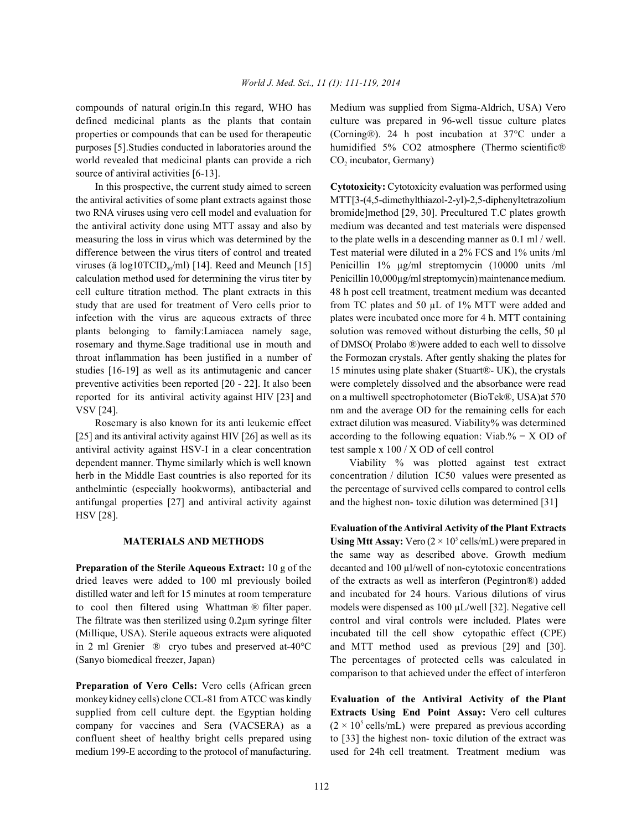compounds of natural origin.In this regard, WHO has Medium was supplied from Sigma-Aldrich, USA) Vero defined medicinal plants as the plants that contain culture was prepared in 96-well tissue culture plates properties or compounds that can be used for therapeutic (Corning®). 24 h post incubation at 37°C under a purposes [5].Studies conducted in laboratories around the humidified 5% CO2 atmosphere (Thermo scientific® world revealed that medicinal plants can provide a rich source of antiviral activities [6-13].

the antiviral activities of some plant extracts against those MTT [3-(4,5-dimethylthiazol-2-yl)-2,5-diphenyl tetrazolium two RNA viruses using vero cell model and evaluation for bromide]method [29, 30]. Precultured T.C plates growth the antiviral activity done using MTT assay and also by medium was decanted and test materials were dispensed measuring the loss in virus which was determined by the to the plate wells in a descending manner as 0.1 ml/well. difference between the virus titers of control and treated Test material were diluted in a 2% FCS and 1% units /ml viruses (ä log10TCID<sub>so</sub>/ml) [14]. Reed and Meunch [15] Penicillin 1%  $\mu$ g/ml streptomycin (10000 units /ml calculation method used for determining the virus titer by Penicillin 10,000µg/ml streptomycin) maintenance medium. cell culture titration method. The plant extracts in this 48 h post cell treatment, treatment medium was decanted study that are used for treatment of Vero cells prior to from TC plates and 50  $\mu$ L of 1% MTT were added and infection with the virus are aqueous extracts of three plates were incubated once more for 4 h. MTT containing plants belonging to family:Lamiacea namely sage, solution was removed without disturbing the cells, 50 µl rosemary and thyme.Sage traditional use in mouth and of DMSO( Prolabo ®)were added to each well to dissolve throat inflammation has been justified in a number of the Formozan crystals. After gently shaking the plates for studies [16-19] as well as its antimutagenic and cancer 15 minutes using plate shaker (Stuart®- UK), the crystals preventive activities been reported [20 - 22]. It also been were completely dissolved and the absorbance were read reported for its antiviral activity against HIV [23] and on a multiwell spectrophotometer (BioTek®, USA)at 570

[25] and its antiviral activity against HIV [26] as well as its according to the following equation: Viab.% = X OD of antiviral activity against HSV-I in a clear concentration test sample x 100 / X OD of cell control dependent manner. Thyme similarly which is well known Viability % was plotted against test extract herb in the Middle East countries is also reported for its concentration / dilution IC50 values were presented as anthelmintic (especially hookworms), antibacterial and the percentage of survived cells compared to control cells antifungal properties [27] and antiviral activity against and the highest non- toxic dilution was determined [31] HSV [28].

dried leaves were added to 100 ml previously boiled of the extracts as well as interferon (Pegintron®) added distilled water and left for 15 minutes at room temperature and incubated for 24 hours. Various dilutions of virus to cool then filtered using Whattman ® filter paper. models were dispensed as 100 µL/well [32]. Negative cell The filtrate was then sterilized using 0.2µm syringe filter control and viral controls were included. Plates were (Millique, USA). Sterile aqueous extracts were aliquoted incubated till the cell show cytopathic effect (CPE) in 2 ml Grenier ® cryo tubes and preserved at-40°C and MTT method used as previous [29] and [30]. (Sanyo biomedical freezer, Japan) The percentages of protected cells was calculated in

**Preparation of Vero Cells:** Vero cells (African green monkey kidney cells) clone CCL-81 from ATCC was kindly **Evaluation of the Antiviral Activity of the Plant** supplied from cell culture dept. the Egyptian holding **Extracts Using End Point Assay:** Vero cell cultures company for vaccines and Sera (VACSERA) as a  $(2 \times 10^5 \text{ cells/mL})$  were prepared as previous according confluent sheet of healthy bright cells prepared using to [33] the highest non- toxic dilution of the extract was medium 199-E according to the protocol of manufacturing. used for 24h cell treatment. Treatment medium was

CO<sub>2</sub> incubator, Germany)

In this prospective, the current study aimed to screen **Cytotoxicity:** Cytotoxicity evaluation was performed using VSV [24]. nm and the average OD for the remaining cells for each Rosemary is also known for its anti leukemic effect extract dilution was measured. Viability% was determined

**MATERIALS AND METHODS** Using Mtt Assay: Vero  $(2 \times 10^5 \text{ cells/mL})$  were prepared in **Preparation of the Sterile Aqueous Extract:** 10 g of the decanted and 100 µl/well of non-cytotoxic concentrations **Evaluation of the Antiviral Activity of the Plant Extracts** the same way as described above. Growth medium comparison to that achieved under the effect of interferon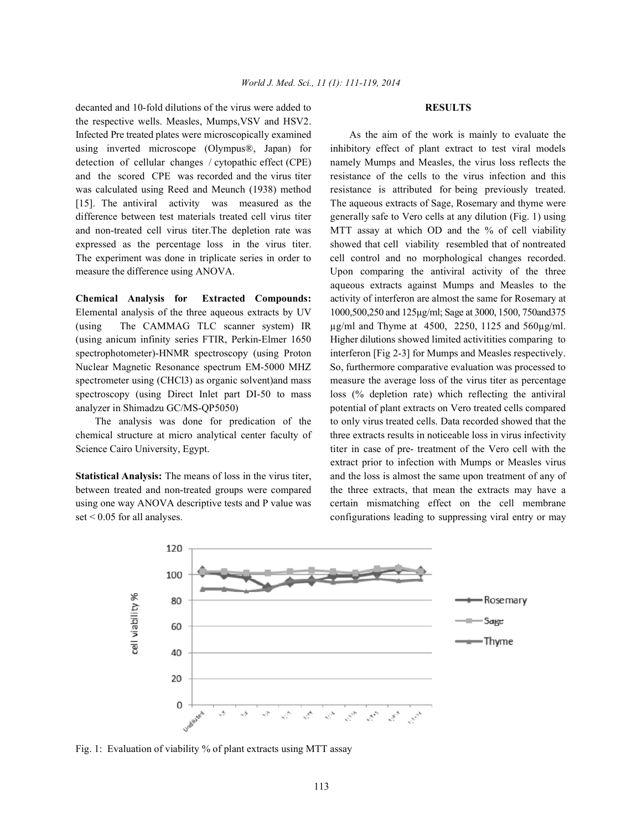decanted and 10-fold dilutions of the virus were added to **RESULTS** the respective wells. Measles, Mumps,VSV and HSV2. Infected Pre treated plates were microscopically examined As the aim of the work is mainly to evaluate the using inverted microscope (Olympus®, Japan) for inhibitory effect of plant extract to test viral models detection of cellular changes / cytopathic effect (CPE) namely Mumps and Measles, the virus loss reflects the and the scored CPE was recorded and the virus titer resistance of the cells to the virus infection and this was calculated using Reed and Meunch (1938) method resistance is attributed for being previously treated. [15]. The antiviral activity was measured as the The aqueous extracts of Sage, Rosemary and thyme were expressed as the percentage loss in the virus titer. showed that cell viability resembled that of nontreated The experiment was done in triplicate series in order to cell control and no morphological changes recorded. measure the difference using ANOVA. Upon comparing the antiviral activity of the three

(using The CAMMAG TLC scanner system) IR  $\mu$ g/ml and Thyme at 4500, 2250, 1125 and 560 $\mu$ g/ml.

set < 0.05 for all analyses. configurations leading to suppressing viral entry or may

difference between test materials treated cell virus titer generally safe to Vero cells at any dilution (Fig. 1) using and non-treated cell virus titer.The depletion rate was MTT assay at which OD and the % of cell viability **Chemical Analysis for Extracted Compounds:** activity of interferon are almost the same for Rosemary at Elemental analysis of the three aqueous extracts by UV 1000,500,250 and 125µg/ml; Sage at 3000, 1500, 750and375 (using anicum infinity series FTIR, Perkin-Elmer 1650 Higher dilutions showed limited activitities comparing to spectrophotometer)-HNMR spectroscopy (using Proton interferon [Fig 2-3] for Mumps and Measles respectively. Nuclear Magnetic Resonance spectrum EM-5000 MHZ So, furthermore comparative evaluation was processed to spectrometer using (CHCl3) as organic solvent)and mass measure the average loss of the virus titer as percentage spectroscopy (using Direct Inlet part DI-50 to mass loss (% depletion rate) which reflecting the antiviral analyzer in Shimadzu GC/MS-QP5050) potential of plant extracts on Vero treated cells compared The analysis was done for predication of the to only virus treated cells. Data recorded showed that the chemical structure at micro analytical center faculty of three extracts results in noticeable loss in virus infectivity Science Cairo University, Egypt. titer in case of pre- treatment of the Vero cell with the **Statistical Analysis:** The means of loss in the virus titer, and the loss is almost the same upon treatment of any of between treated and non-treated groups were compared the three extracts, that mean the extracts may have a using one way ANOVA descriptive tests and P value was certain mismatching effect on the cell membrane aqueous extracts against Mumps and Measles to the extract prior to infection with Mumps or Measles virus



Fig. 1: Evaluation of viability % of plant extracts using MTT assay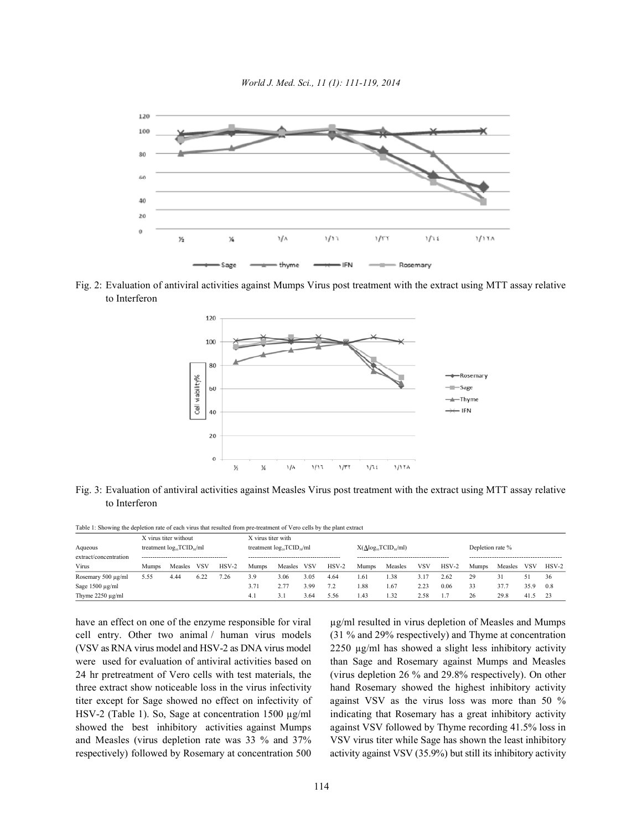

Fig. 2: Evaluation of antiviral activities against Mumps Virus post treatment with the extract using MTT assay relative to Interferon



Fig. 3: Evaluation of antiviral activities against Measles Virus post treatment with the extract using MTT assay relative to Interferon

Table 1: Showing the depletion rate of each virus that resulted from pre-treatment of Vero cells by the plant extract

|                       | X virus titer without            |         |      |         | X virus titer with               |         |      |         |                                  |         |      |         |                  |         |            |         |
|-----------------------|----------------------------------|---------|------|---------|----------------------------------|---------|------|---------|----------------------------------|---------|------|---------|------------------|---------|------------|---------|
| Aqueous               | treatment $log_{10}TCID_{50}/ml$ |         |      |         | treatment $log_{10}TCID_{so}/ml$ |         |      |         | $X(\Delta log_{10}TCID_{50}/ml)$ |         |      |         | Depletion rate % |         |            |         |
| extract/concentration |                                  |         |      |         |                                  |         |      |         |                                  |         |      |         |                  |         |            |         |
| Virus                 | <b>Mumps</b>                     | Measles | VSV  | $HSV-2$ | Mumps                            | Measles | VSV  | $HSV-2$ | Mumps                            | Measles | VSV  | $HSV-2$ | Mumps            | Measles | <b>VSV</b> | $HSV-2$ |
| Rosemary 500 µg/ml    | 5.55                             | 4.44    | 6.22 | .26     | 3.9                              | 3.06    | 3.05 | 4.64    | .61                              | 1.38    |      | 2.62    | 29               |         |            | 36      |
| Sage 1500 µg/ml       |                                  |         |      |         | 3.71                             |         | 399  | 7.2     | . 88                             | 1.67    | 2.23 | 0.06    | 33               | 37.7    | 35.9       | 0.8     |
| Thyme $2250 \mu g/ml$ |                                  |         |      |         | -4.1                             |         | 3.64 | 5.56    | 1.43                             | 1.32    | 2.58 |         | 26               | 29.8    | 41.5       | 23      |

cell entry. Other two animal / human virus models (31 % and 29% respectively) and Thyme at concentration (VSV as RNA virus model and HSV-2 as DNA virus model 2250 µg/ml has showed a slight less inhibitory activity were used for evaluation of antiviral activities based on than Sage and Rosemary against Mumps and Measles 24 hr pretreatment of Vero cells with test materials, the (virus depletion 26 % and 29.8% respectively). On other three extract show noticeable loss in the virus infectivity hand Rosemary showed the highest inhibitory activity titer except for Sage showed no effect on infectivity of against VSV as the virus loss was more than 50 % HSV-2 (Table 1). So, Sage at concentration 1500 µg/ml indicating that Rosemary has a great inhibitory activity showed the best inhibitory activities against Mumps against VSV followed by Thyme recording 41.5% loss in and Measles (virus depletion rate was 33 % and 37% VSV virus titer while Sage has shown the least inhibitory respectively) followed by Rosemary at concentration 500 activity against VSV (35.9%) but still its inhibitory activity

have an effect on one of the enzyme responsible for viral µg/ml resulted in virus depletion of Measles and Mumps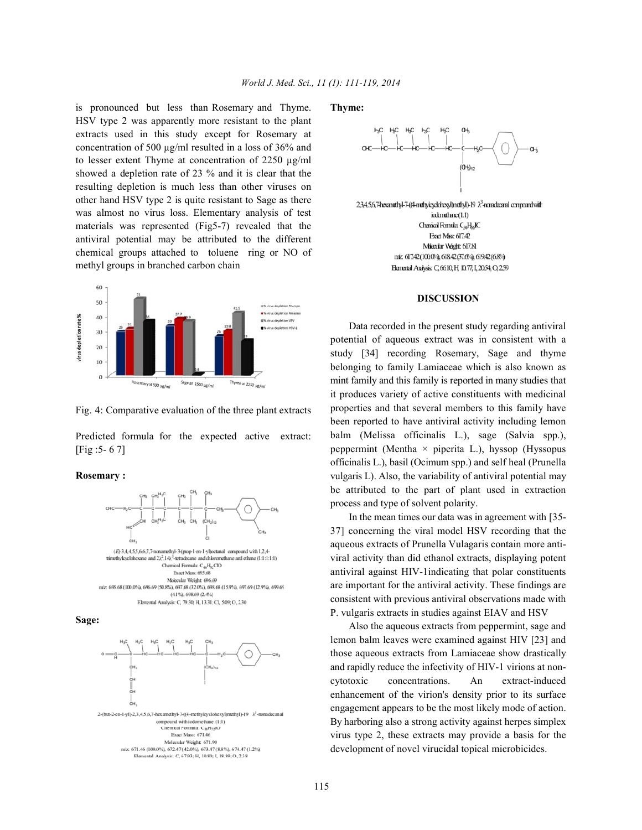is pronounced but less than Rosemary and Thyme. **Thyme:** HSV type 2 was apparently more resistant to the plant extracts used in this study except for Rosemary at concentration of 500 µg/ml resulted in a loss of 36% and to lesser extent Thyme at concentration of 2250 µg/ml showed a depletion rate of 23 % and it is clear that the resulting depletion is much less than other viruses on other hand HSV type 2 is quite resistant to Sage as there was almost no virus loss. Elementary analysis of test materials was represented (Fig5-7) revealed that the antiviral potential may be attributed to the different chemical groups attached to toluene ring or NO of methyl groups in branched carbon chain



Fig. 4: Comparative evaluation of the three plant extracts

Predicted formula for the expected active extract: [Fig :5- 6 7]

### **Rosemary :**









2,3,4,5,6,7-hexanethyl-7-((4-methyleydohexyl) methyl)-19  $\lambda^3$ -nomolecanal compound with iodintdiane(1:1) Chanical Formula: C<sub>34</sub>H<sub>65</sub>IC Exact Mass 617.42 Mikedar Wight 617.81 niz 617.42(1000%), 61842(37.6%), 619.42(6.8%) Elenertal Analysis C 6610 H 1077, I, 2054; Q 259

### **DISCUSSION**

Data recorded in the present study regarding antiviral potential of aqueous extract was in consistent with a study [34] recording Rosemary, Sage and thyme belonging to family Lamiaceae which is also known as mint family and this family is reported in many studies that it produces variety of active constituents with medicinal properties and that several members to this family have been reported to have antiviral activity including lemon balm (Melissa officinalis L.), sage (Salvia spp.), peppermint (Mentha  $\times$  piperita L.), hyssop (Hyssopus officinalis L.), basil (Ocimum spp.) and self heal (Prunella vulgaris L). Also, the variability of antiviral potential may be attributed to the part of plant used in extraction process and type of solvent polarity.

In the mean times our data was in agreement with [35- 37] concerning the viral model HSV recording that the aqueous extracts of Prunella Vulagaris contain more antiviral activity than did ethanol extracts, displaying potent antiviral against HIV-1indicating that polar constituents are important for the antiviral activity. These findings are consistent with previous antiviral observations made with P. vulgaris extracts in studies against EIAV and HSV

Also the aqueous extracts from peppermint, sage and lemon balm leaves were examined against HIV [23] and those aqueous extracts from Lamiaceae show drastically and rapidly reduce the infectivity of HIV-1 virions at noncytotoxic concentrations. An extract-induced enhancement of the virion's density prior to its surface engagement appears to be the most likely mode of action. By harboring also a strong activity against herpes simplex virus type 2, these extracts may provide a basis for the development of novel virucidal topical microbicides.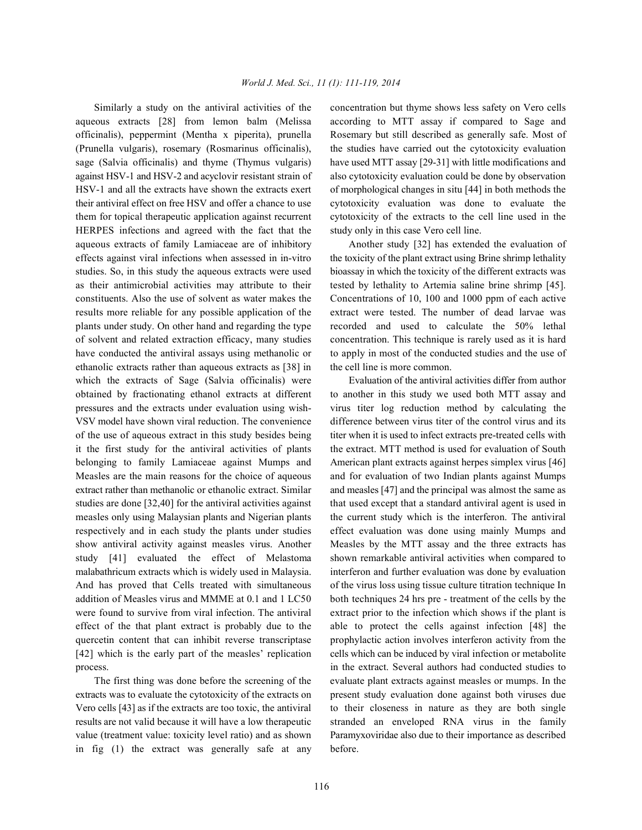aqueous extracts [28] from lemon balm (Melissa according to MTT assay if compared to Sage and officinalis), peppermint (Mentha x piperita), prunella Rosemary but still described as generally safe. Most of (Prunella vulgaris), rosemary (Rosmarinus officinalis), the studies have carried out the cytotoxicity evaluation sage (Salvia officinalis) and thyme (Thymus vulgaris) have used MTT assay [29-31] with little modifications and against HSV-1 and HSV-2 and acyclovir resistant strain of also cytotoxicity evaluation could be done by observation HSV-1 and all the extracts have shown the extracts exert of morphological changes in situ [44] in both methods the their antiviral effect on free HSV and offer a chance to use cytotoxicity evaluation was done to evaluate the them for topical therapeutic application against recurrent cytotoxicity of the extracts to the cell line used in the HERPES infections and agreed with the fact that the study only in this case Vero cell line. aqueous extracts of family Lamiaceae are of inhibitory Another study [32] has extended the evaluation of effects against viral infections when assessed in in-vitro the toxicity of the plant extract using Brine shrimp lethality studies. So, in this study the aqueous extracts were used bioassay in which the toxicity of the different extracts was as their antimicrobial activities may attribute to their tested by lethality to Artemia saline brine shrimp [45]. constituents. Also the use of solvent as water makes the Concentrations of 10, 100 and 1000 ppm of each active results more reliable for any possible application of the extract were tested. The number of dead larvae was plants under study. On other hand and regarding the type recorded and used to calculate the 50% lethal of solvent and related extraction efficacy, many studies concentration. This technique is rarely used as it is hard have conducted the antiviral assays using methanolic or to apply in most of the conducted studies and the use of ethanolic extracts rather than aqueous extracts as [38] in the cell line is more common. which the extracts of Sage (Salvia officinalis) were Evaluation of the antiviral activities differ from author obtained by fractionating ethanol extracts at different to another in this study we used both MTT assay and pressures and the extracts under evaluation using wish- virus titer log reduction method by calculating the VSV model have shown viral reduction. The convenience difference between virus titer of the control virus and its of the use of aqueous extract in this study besides being titer when it is used to infect extracts pre-treated cells with it the first study for the antiviral activities of plants the extract. MTT method is used for evaluation of South belonging to family Lamiaceae against Mumps and American plant extracts against herpes simplex virus [46] Measles are the main reasons for the choice of aqueous and for evaluation of two Indian plants against Mumps extract rather than methanolic or ethanolic extract. Similar and measles [47] and the principal was almost the same as studies are done [32,40] for the antiviral activities against that used except that a standard antiviral agent is used in measles only using Malaysian plants and Nigerian plants the current study which is the interferon. The antiviral respectively and in each study the plants under studies effect evaluation was done using mainly Mumps and show antiviral activity against measles virus. Another Measles by the MTT assay and the three extracts has study [41] evaluated the effect of Melastoma shown remarkable antiviral activities when compared to malabathricum extracts which is widely used in Malaysia. interferon and further evaluation was done by evaluation And has proved that Cells treated with simultaneous of the virus loss using tissue culture titration technique In addition of Measles virus and MMME at 0.1 and 1 LC50 both techniques 24 hrs pre - treatment of the cells by the were found to survive from viral infection. The antiviral extract prior to the infection which shows if the plant is effect of the that plant extract is probably due to the able to protect the cells against infection [48] the quercetin content that can inhibit reverse transcriptase prophylactic action involves interferon activity from the [42] which is the early part of the measles' replication cells which can be induced by viral infection or metabolite

extracts was to evaluate the cytotoxicity of the extracts on present study evaluation done against both viruses due Vero cells [43] as if the extracts are too toxic, the antiviral to their closeness in nature as they are both single results are not valid because it will have a low therapeutic stranded an enveloped RNA virus in the family value (treatment value: toxicity level ratio) and as shown Paramyxoviridae also due to their importance as described in fig (1) the extract was generally safe at any before.

Similarly a study on the antiviral activities of the concentration but thyme shows less safety on Vero cells

process. in the extract. Several authors had conducted studies to The first thing was done before the screening of the evaluate plant extracts against measles or mumps. In the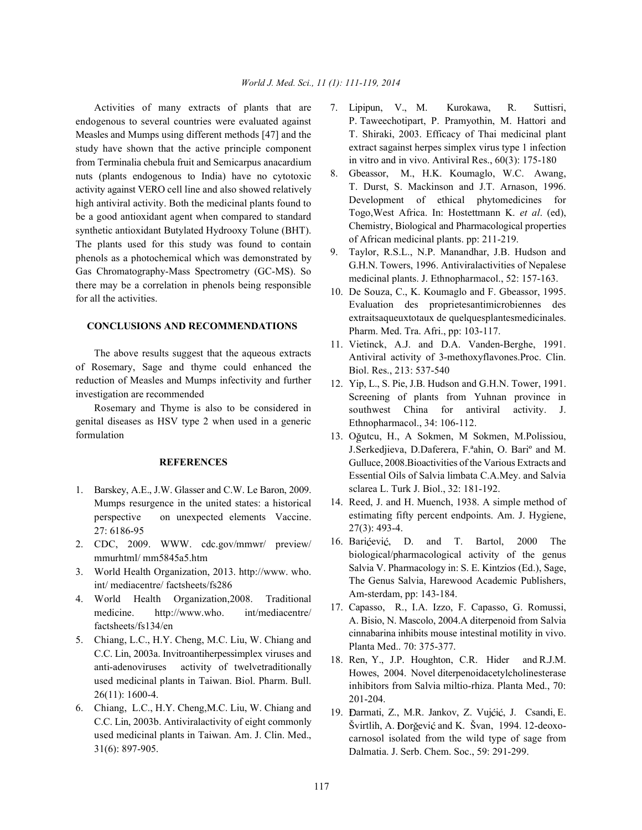endogenous to several countries were evaluated against Measles and Mumps using different methods [47] and the study have shown that the active principle component from Terminalia chebula fruit and Semicarpus anacardium nuts (plants endogenous to India) have no cytotoxic activity against VERO cell line and also showed relatively high antiviral activity. Both the medicinal plants found to be a good antioxidant agent when compared to standard synthetic antioxidant Butylated Hydrooxy Tolune (BHT). The plants used for this study was found to contain phenols as a photochemical which was demonstrated by Gas Chromatography-Mass Spectrometry (GC-MS). So there may be a correlation in phenols being responsible for all the activities.

# **CONCLUSIONS AND RECOMMENDATIONS**

The above results suggest that the aqueous extracts of Rosemary, Sage and thyme could enhanced the reduction of Measles and Mumps infectivity and further investigation are recommended

Rosemary and Thyme is also to be considered in genital diseases as HSV type 2 when used in a generic formulation

# **REFERENCES**

- 1. Barskey, A.E., J.W. Glasser and C.W. Le Baron, 2009. Mumps resurgence in the united states: a historical perspective on unexpected elements Vaccine. 27: 6186-95
- 2. CDC, 2009. WWW. cdc.gov/mmwr/ preview/ mmurhtml/ mm5845a5.htm
- 3. World Health Organization, 2013. http://www. who. int/ mediacentre/ factsheets/fs286
- 4. World Health Organization,2008. Traditional medicine. http://www.who. int/mediacentre/ factsheets/fs134/en
- 5. Chiang, L.C., H.Y. Cheng, M.C. Liu, W. Chiang and C.C. Lin, 2003a. Invitroantiherpessimplex viruses and anti-adenoviruses activity of twelvetraditionally used medicinal plants in Taiwan. Biol. Pharm. Bull. 26(11): 1600-4.
- 6. Chiang, L.C., H.Y. Cheng,M.C. Liu, W. Chiang and C.C. Lin, 2003b. Antiviralactivity of eight commonly used medicinal plants in Taiwan. Am. J. Clin. Med., 31(6): 897-905.
- Activities of many extracts of plants that are 7. Lipipun, V., M. Kurokawa, R. Suttisri, P. Taweechotipart, P. Pramyothin, M. Hattori and T. Shiraki, 2003. Efficacy of Thai medicinal plant extract sagainst herpes simplex virus type 1 infection in vitro and in vivo. Antiviral Res., 60(3): 175-180
	- 8. Gbeassor, M., H.K. Koumaglo, W.C. Awang, T. Durst, S. Mackinson and J.T. Arnason, 1996. Development of ethical phytomedicines for Togo,West Africa. In: Hostettmann K. *et al*. (ed), Chemistry, Biological and Pharmacological properties of African medicinal plants. pp: 211-219.
	- 9. Taylor, R.S.L., N.P. Manandhar, J.B. Hudson and G.H.N. Towers, 1996. Antiviralactivities of Nepalese medicinal plants. J. Ethnopharmacol., 52: 157-163.
	- 10. De Souza, C., K. Koumaglo and F. Gbeassor, 1995. Evaluation des proprietesantimicrobiennes des extraitsaqueuxtotaux de quelquesplantesmedicinales. Pharm. Med. Tra. Afri., pp: 103-117.
	- 11. Vietinck, A.J. and D.A. Vanden-Berghe, 1991. Antiviral activity of 3-methoxyflavones.Proc. Clin. Biol. Res., 213: 537-540
	- 12. Yip, L., S. Pie, J.B. Hudson and G.H.N. Tower, 1991. Screening of plants from Yuhnan province in southwest China for antiviral activity. J. Ethnopharmacol., 34: 106-112.
	- 13. Oğutcu, H., A Sokmen, M Sokmen, M.Polissiou, J.Serkedjieva, D.Daferera, F.ªahin, O. Bariº and M. Gulluce, 2008.Bioactivities of the Various Extracts and Essential Oils of Salvia limbata C.A.Mey. and Salvia sclarea L. Turk J. Biol., 32: 181-192.
	- 14. Reed, J. and H. Muench, 1938. A simple method of estimating fifty percent endpoints. Am. J. Hygiene, 27(3): 493-4.
	- 16. Barićević, D. and T. Bartol, 2000 The biological/pharmacological activity of the genus Salvia V. Pharmacology in: S. E. Kintzios (Ed.), Sage, The Genus Salvia, Harewood Academic Publishers, Am-sterdam, pp: 143-184.
	- 17. Capasso, R., I.A. Izzo, F. Capasso, G. Romussi, A. Bisio, N. Mascolo, 2004.A diterpenoid from Salvia cinnabarina inhibits mouse intestinal motility in vivo. Planta Med.. 70: 375-377.
	- 18. Ren, Y., J.P. Houghton, C.R. Hider and R.J.M. Howes, 2004. Novel diterpenoidacetylcholinesterase inhibitors from Salvia miltio-rhiza. Planta Med., 70: 201-204.
	- 19. Đarmati, Z., M.R. Jankov, Z. Vujćić, J. Csandi, E. Švirtlih, A. Đorgević and K. Švan, 1994. 12-deoxocarnosol isolated from the wild type of sage from Dalmatia. J. Serb. Chem. Soc., 59: 291-299.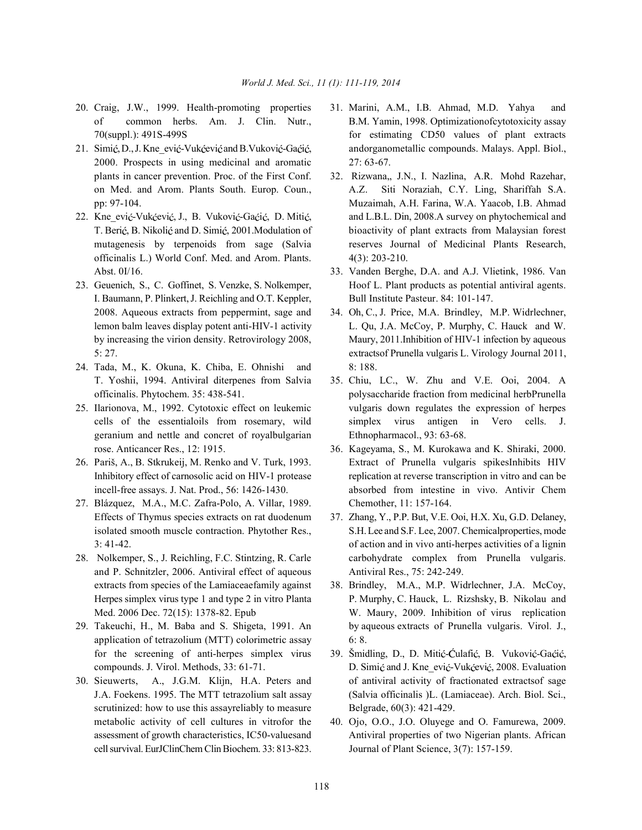- 20. Craig, J.W., 1999. Health-promoting properties 31. Marini, A.M., I.B. Ahmad, M.D. Yahya and
- 2000. Prospects in using medicinal and aromatic 27: 63-67.
- officinalis L.) World Conf. Med. and Arom. Plants. 4(3): 203-210. Abst. 0I/16. 33. Vanden Berghe, D.A. and A.J. Vlietink, 1986. Van
- I. Baumann, P. Plinkert, J. Reichling and O.T. Keppler, Bull Institute Pasteur. 84: 101-147. 2008. Aqueous extracts from peppermint, sage and 34. Oh, C., J. Price, M.A. Brindley, M.P. Widrlechner,
- 24. Tada, M., K. Okuna, K. Chiba, E. Ohnishi and 8: 188. T. Yoshii, 1994. Antiviral diterpenes from Salvia 35. Chiu, LC., W. Zhu and V.E. Ooi, 2004. A
- geranium and nettle and concret of royalbulgarian Ethnopharmacol., 93: 63-68. rose. Anticancer Res., 12: 1915. 36. Kageyama, S., M. Kurokawa and K. Shiraki, 2000.
- 
- 27. Blázquez, M.A., M.C. Zafra-Polo, A. Villar, 1989. Chemother, 11: 157-164. Effects of Thymus species extracts on rat duodenum 37. Zhang, Y., P.P. But, V.E. Ooi, H.X. Xu, G.D. Delaney,
- and P. Schnitzler, 2006. Antiviral effect of aqueous Antiviral Res., 75: 242-249. extracts from species of the Lamiaceaefamily against 38. Brindley, M.A., M.P. Widrlechner, J.A. McCoy,
- application of tetrazolium (MTT) colorimetric assay 6: 8. for the screening of anti-herpes simplex virus 39. Šmidling, D., D. Mitić-Ćulafić, B. Vuković-Gaćić,
- scrutinized: how to use this assayreliably to measure Belgrade,  $60(3)$ : 421-429. metabolic activity of cell cultures in vitrofor the 40. Ojo, O.O., J.O. Oluyege and O. Famurewa, 2009. cell survival. EurJClinChem Clin Biochem. 33: 813-823. Journal of Plant Science, 3(7): 157-159.
- of common herbs. Am. J. Clin. Nutr., B.M. Yamin, 1998. Optimizationofcytotoxicity assay 70(suppl.): 491S-499S for estimating CD50 values of plant extracts 21. Simić, D., J. Kne ević-Vukćević and B. Vuković-Gaćić, andorganometallic compounds. Malays. Appl. Biol.,
- plants in cancer prevention. Proc. of the First Conf. 32. Rizwana,, J.N., I. Nazlina, A.R. Mohd Razehar, on Med. and Arom. Plants South. Europ. Coun., A.Z. Siti Noraziah, C.Y. Ling, Shariffah S.A. pp: 97-104. Muzaimah, A.H. Farina, W.A. Yaacob, I.B. Ahmad 22. Kne\_ević-Vukćević, J., B. Vuković-Gaćić, D. Mitić, and L.B.L. Din, 2008.A survey on phytochemical and T. Berić, B. Nikolić and D. Simić, 2001. Modulation of bioactivity of plant extracts from Malaysian forest mutagenesis by terpenoids from sage (Salvia reserves Journal of Medicinal Plants Research,
- 23. Geuenich, S., C. Goffinet, S. Venzke, S. Nolkemper, Hoof L. Plant products as potential antiviral agents.
	- lemon balm leaves display potent anti-HIV-1 activity L. Qu, J.A. McCoy, P. Murphy, C. Hauck and W. by increasing the virion density. Retrovirology 2008, Maury, 2011.Inhibition of HIV-1 infection by aqueous 5: 27. extractsof Prunella vulgaris L. Virology Journal 2011,
- officinalis. Phytochem. 35: 438-541. polysaccharide fraction from medicinal herbPrunella 25. Ilarionova, M., 1992. Cytotoxic effect on leukemic vulgaris down regulates the expression of herpes cells of the essentialoils from rosemary, wild simplex virus antigen in Vero cells. J.
- 26. Pariš, A., B. Stkrukeij, M. Renko and V. Turk, 1993. Extract of Prunella vulgaris spikesInhibits HIV Inhibitory effect of carnosolic acid on HIV-1 protease replication at reverse transcription in vitro and can be incell-free assays. J. Nat. Prod., 56: 1426-1430. absorbed from intestine in vivo. Antivir Chem
- isolated smooth muscle contraction. Phytother Res., S.H. Lee and S.F. Lee, 2007. Chemical properties, mode 3: 41-42. of action and in vivo anti-herpes activities of a lignin 28. Nolkemper, S., J. Reichling, F.C. Stintzing, R. Carle carbohydrate complex from Prunella vulgaris.
- Herpes simplex virus type 1 and type 2 in vitro Planta P. Murphy, C. Hauck, L. Rizshsky, B. Nikolau and Med. 2006 Dec. 72(15): 1378-82. Epub W. Maury, 2009. Inhibition of virus replication 29. Takeuchi, H., M. Baba and S. Shigeta, 1991. An by aqueous extracts of Prunella vulgaris. Virol. J.,
- compounds. J. Virol. Methods, 33: 61-71. D. Simić and J. Kne ević-Vukćević, 2008. Evaluation 30. Sieuwerts, A., J.G.M. Klijn, H.A. Peters and of antiviral activity of fractionated extractsof sage J.A. Foekens. 1995. The MTT tetrazolium salt assay (Salvia officinalis )L. (Lamiaceae). Arch. Biol. Sci.,
	- assessment of growth characteristics, IC50-valuesand Antiviral properties of two Nigerian plants. African